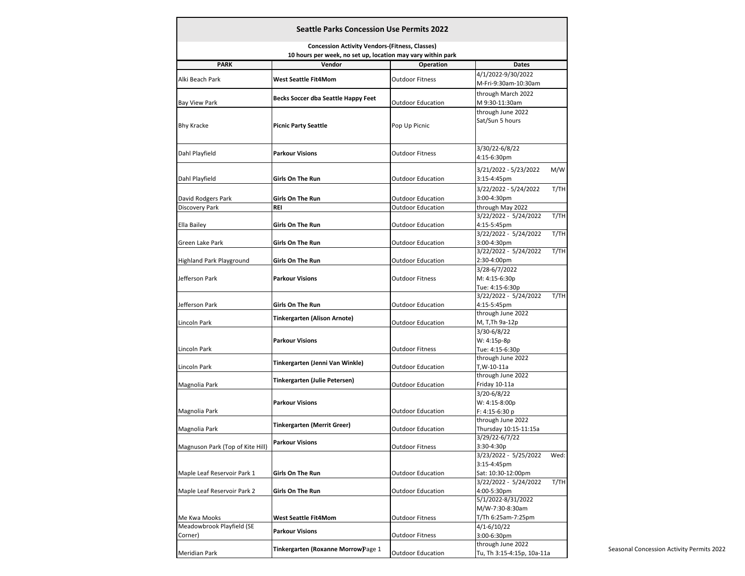| <b>Seattle Parks Concession Use Permits 2022</b>                                                                     |                                            |                          |                                                  |  |  |
|----------------------------------------------------------------------------------------------------------------------|--------------------------------------------|--------------------------|--------------------------------------------------|--|--|
| <b>Concession Activity Vendors-(Fitness, Classes)</b><br>10 hours per week, no set up, location may vary within park |                                            |                          |                                                  |  |  |
| <b>PARK</b>                                                                                                          | Vendor                                     | <b>Operation</b>         | <b>Dates</b>                                     |  |  |
|                                                                                                                      |                                            |                          | 4/1/2022-9/30/2022                               |  |  |
| Alki Beach Park                                                                                                      | West Seattle Fit4Mom                       | <b>Outdoor Fitness</b>   | M-Fri-9:30am-10:30am                             |  |  |
|                                                                                                                      |                                            |                          | through March 2022                               |  |  |
|                                                                                                                      | <b>Becks Soccer dba Seattle Happy Feet</b> | <b>Outdoor Education</b> | M 9:30-11:30am                                   |  |  |
| Bay View Park                                                                                                        |                                            |                          | through June 2022                                |  |  |
| <b>Bhy Kracke</b>                                                                                                    | <b>Picnic Party Seattle</b>                | Pop Up Picnic            | Sat/Sun 5 hours                                  |  |  |
|                                                                                                                      |                                            |                          | 3/30/22-6/8/22                                   |  |  |
| Dahl Playfield                                                                                                       | <b>Parkour Visions</b>                     | <b>Outdoor Fitness</b>   | 4:15-6:30pm                                      |  |  |
|                                                                                                                      |                                            |                          |                                                  |  |  |
|                                                                                                                      |                                            |                          | M/W<br>3/21/2022 - 5/23/2022                     |  |  |
| Dahl Playfield                                                                                                       | Girls On The Run                           | <b>Outdoor Education</b> | 3:15-4:45pm                                      |  |  |
|                                                                                                                      |                                            |                          | 3/22/2022 - 5/24/2022<br>T/TH                    |  |  |
| David Rodgers Park                                                                                                   | Girls On The Run                           | <b>Outdoor Education</b> | 3:00-4:30pm                                      |  |  |
| Discovery Park                                                                                                       | REI                                        | <b>Outdoor Education</b> | through May 2022                                 |  |  |
|                                                                                                                      |                                            |                          | 3/22/2022 - 5/24/2022<br>T/TH                    |  |  |
| Ella Bailey                                                                                                          | Girls On The Run                           | <b>Outdoor Education</b> | 4:15-5:45pm                                      |  |  |
|                                                                                                                      |                                            |                          | 3/22/2022 - 5/24/2022<br>T/TH                    |  |  |
| Green Lake Park                                                                                                      | Girls On The Run                           | <b>Outdoor Education</b> | 3:00-4:30pm                                      |  |  |
|                                                                                                                      |                                            |                          | 3/22/2022 - 5/24/2022<br>T/TH                    |  |  |
| Highland Park Playground                                                                                             | Girls On The Run                           | <b>Outdoor Education</b> | 2:30-4:00pm                                      |  |  |
|                                                                                                                      |                                            |                          | 3/28-6/7/2022                                    |  |  |
| Jefferson Park                                                                                                       | <b>Parkour Visions</b>                     | <b>Outdoor Fitness</b>   | M: 4:15-6:30p                                    |  |  |
|                                                                                                                      |                                            |                          | Tue: 4:15-6:30p<br>3/22/2022 - 5/24/2022<br>T/TH |  |  |
|                                                                                                                      | Girls On The Run                           | <b>Outdoor Education</b> | 4:15-5:45pm                                      |  |  |
| Jefferson Park                                                                                                       |                                            |                          | through June 2022                                |  |  |
| Lincoln Park                                                                                                         | Tinkergarten (Alison Arnote)               | Outdoor Education        | M, T,Th 9a-12p                                   |  |  |
|                                                                                                                      |                                            |                          | 3/30-6/8/22                                      |  |  |
|                                                                                                                      | <b>Parkour Visions</b>                     |                          | W: 4:15p-8p                                      |  |  |
| Lincoln Park                                                                                                         |                                            | <b>Outdoor Fitness</b>   | Tue: 4:15-6:30p                                  |  |  |
|                                                                                                                      |                                            |                          | through June 2022                                |  |  |
| Lincoln Park                                                                                                         | Tinkergarten (Jenni Van Winkle)            | <b>Outdoor Education</b> | T,W-10-11a                                       |  |  |
|                                                                                                                      |                                            |                          | through June 2022                                |  |  |
| Magnolia Park                                                                                                        | Tinkergarten (Julie Petersen)              | <b>Outdoor Education</b> | Friday 10-11a                                    |  |  |
|                                                                                                                      |                                            |                          | 3/20-6/8/22                                      |  |  |
|                                                                                                                      | <b>Parkour Visions</b>                     |                          | W: 4:15-8:00p                                    |  |  |
| Magnolia Park                                                                                                        |                                            | <b>Outdoor Education</b> | F: 4:15-6:30 p                                   |  |  |
|                                                                                                                      |                                            |                          | through June 2022                                |  |  |
| Magnolia Park                                                                                                        | Tinkergarten (Merrit Greer)                | <b>Outdoor Education</b> | Thursday 10:15-11:15a                            |  |  |
|                                                                                                                      | <b>Parkour Visions</b>                     |                          | 3/29/22-6/7/22                                   |  |  |
| Magnuson Park (Top of Kite Hill)                                                                                     |                                            | <b>Outdoor Fitness</b>   | 3:30-4:30p                                       |  |  |
|                                                                                                                      |                                            |                          | 3/23/2022 - 5/25/2022<br>Wed:                    |  |  |
|                                                                                                                      |                                            |                          | 3:15-4:45pm                                      |  |  |
| Maple Leaf Reservoir Park 1                                                                                          | Girls On The Run                           | <b>Outdoor Education</b> | Sat: 10:30-12:00pm                               |  |  |
| Maple Leaf Reservoir Park 2                                                                                          |                                            |                          | 3/22/2022 - 5/24/2022<br>T/TH                    |  |  |
|                                                                                                                      | Girls On The Run                           | <b>Outdoor Education</b> | 4:00-5:30pm                                      |  |  |
|                                                                                                                      |                                            |                          | 5/1/2022-8/31/2022                               |  |  |
|                                                                                                                      |                                            |                          | M/W-7:30-8:30am                                  |  |  |
| Me Kwa Mooks                                                                                                         | West Seattle Fit4Mom                       | <b>Outdoor Fitness</b>   | T/Th 6:25am-7:25pm                               |  |  |
| Meadowbrook Playfield (SE                                                                                            | <b>Parkour Visions</b>                     |                          | 4/1-6/10/22                                      |  |  |
| Corner)                                                                                                              |                                            | <b>Outdoor Fitness</b>   | 3:00-6:30pm                                      |  |  |
|                                                                                                                      | Tinkergarten (Roxanne Morrow)Page 1        |                          | through June 2022                                |  |  |
| Meridian Park                                                                                                        |                                            | <b>Outdoor Education</b> | Tu, Th 3:15-4:15p, 10a-11a                       |  |  |